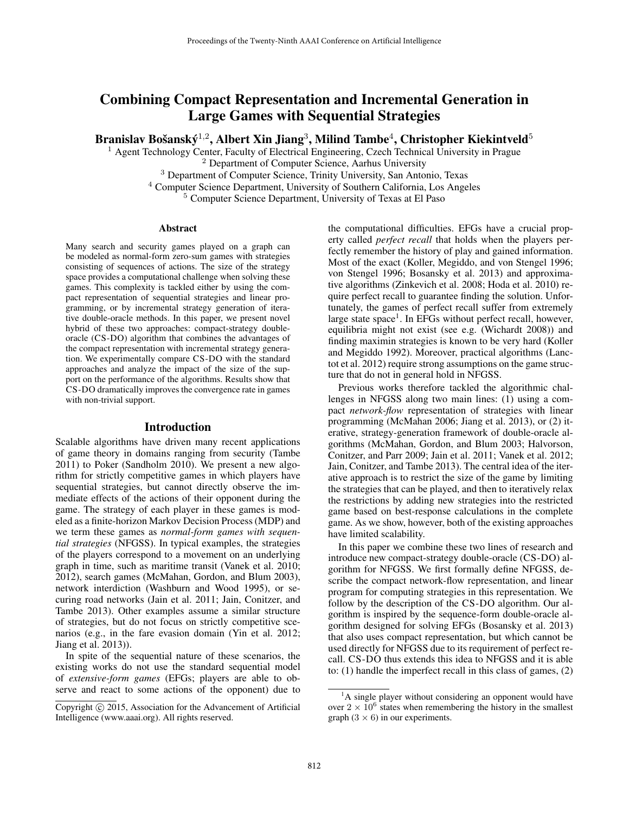# Combining Compact Representation and Incremental Generation in Large Games with Sequential Strategies

Branislav Bošanský $^{1,2}$ , Albert Xin Jiang $^3$ , Milind Tambe $^4$ , Christopher Kiekintveld $^5$ 

<sup>1</sup> Agent Technology Center, Faculty of Electrical Engineering, Czech Technical University in Prague <sup>2</sup> Department of Computer Science, Aarhus University

<sup>3</sup> Department of Computer Science, Trinity University, San Antonio, Texas

<sup>4</sup> Computer Science Department, University of Southern California, Los Angeles

<sup>5</sup> Computer Science Department, University of Texas at El Paso

#### Abstract

Many search and security games played on a graph can be modeled as normal-form zero-sum games with strategies consisting of sequences of actions. The size of the strategy space provides a computational challenge when solving these games. This complexity is tackled either by using the compact representation of sequential strategies and linear programming, or by incremental strategy generation of iterative double-oracle methods. In this paper, we present novel hybrid of these two approaches: compact-strategy doubleoracle (CS-DO) algorithm that combines the advantages of the compact representation with incremental strategy generation. We experimentally compare CS-DO with the standard approaches and analyze the impact of the size of the support on the performance of the algorithms. Results show that CS-DO dramatically improves the convergence rate in games with non-trivial support.

#### Introduction

Scalable algorithms have driven many recent applications of game theory in domains ranging from security (Tambe 2011) to Poker (Sandholm 2010). We present a new algorithm for strictly competitive games in which players have sequential strategies, but cannot directly observe the immediate effects of the actions of their opponent during the game. The strategy of each player in these games is modeled as a finite-horizon Markov Decision Process (MDP) and we term these games as *normal-form games with sequential strategies* (NFGSS). In typical examples, the strategies of the players correspond to a movement on an underlying graph in time, such as maritime transit (Vanek et al. 2010; 2012), search games (McMahan, Gordon, and Blum 2003), network interdiction (Washburn and Wood 1995), or securing road networks (Jain et al. 2011; Jain, Conitzer, and Tambe 2013). Other examples assume a similar structure of strategies, but do not focus on strictly competitive scenarios (e.g., in the fare evasion domain (Yin et al. 2012; Jiang et al. 2013)).

In spite of the sequential nature of these scenarios, the existing works do not use the standard sequential model of *extensive-form games* (EFGs; players are able to observe and react to some actions of the opponent) due to the computational difficulties. EFGs have a crucial property called *perfect recall* that holds when the players perfectly remember the history of play and gained information. Most of the exact (Koller, Megiddo, and von Stengel 1996; von Stengel 1996; Bosansky et al. 2013) and approximative algorithms (Zinkevich et al. 2008; Hoda et al. 2010) require perfect recall to guarantee finding the solution. Unfortunately, the games of perfect recall suffer from extremely large state space<sup>1</sup>. In EFGs without perfect recall, however, equilibria might not exist (see e.g. (Wichardt 2008)) and finding maximin strategies is known to be very hard (Koller and Megiddo 1992). Moreover, practical algorithms (Lanctot et al. 2012) require strong assumptions on the game structure that do not in general hold in NFGSS.

Previous works therefore tackled the algorithmic challenges in NFGSS along two main lines: (1) using a compact *network-flow* representation of strategies with linear programming (McMahan 2006; Jiang et al. 2013), or (2) iterative, strategy-generation framework of double-oracle algorithms (McMahan, Gordon, and Blum 2003; Halvorson, Conitzer, and Parr 2009; Jain et al. 2011; Vanek et al. 2012; Jain, Conitzer, and Tambe 2013). The central idea of the iterative approach is to restrict the size of the game by limiting the strategies that can be played, and then to iteratively relax the restrictions by adding new strategies into the restricted game based on best-response calculations in the complete game. As we show, however, both of the existing approaches have limited scalability.

In this paper we combine these two lines of research and introduce new compact-strategy double-oracle (CS-DO) algorithm for NFGSS. We first formally define NFGSS, describe the compact network-flow representation, and linear program for computing strategies in this representation. We follow by the description of the CS-DO algorithm. Our algorithm is inspired by the sequence-form double-oracle algorithm designed for solving EFGs (Bosansky et al. 2013) that also uses compact representation, but which cannot be used directly for NFGSS due to its requirement of perfect recall. CS-DO thus extends this idea to NFGSS and it is able to: (1) handle the imperfect recall in this class of games, (2)

Copyright  $\odot$  2015, Association for the Advancement of Artificial Intelligence (www.aaai.org). All rights reserved.

 ${}^{1}$ A single player without considering an opponent would have over  $2 \times 10^6$  states when remembering the history in the smallest graph  $(3 \times 6)$  in our experiments.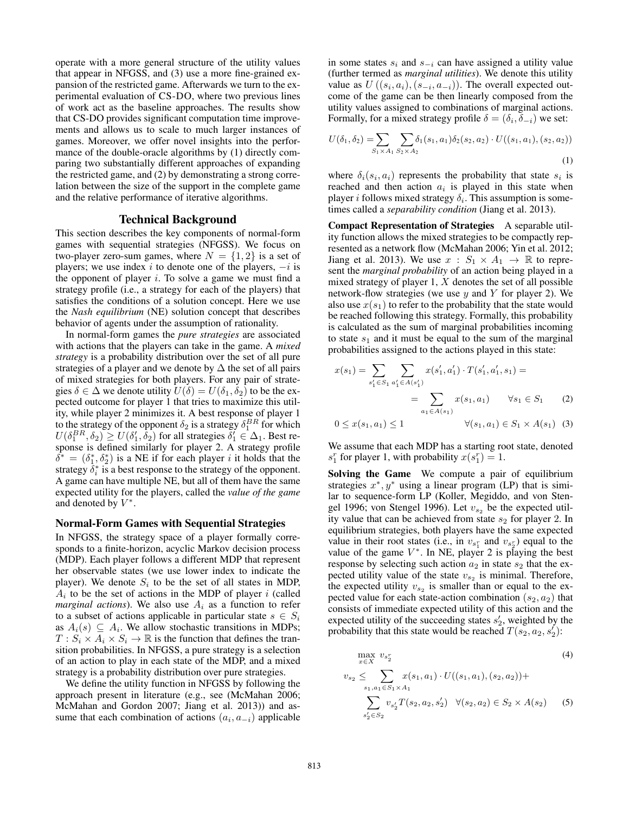operate with a more general structure of the utility values that appear in NFGSS, and (3) use a more fine-grained expansion of the restricted game. Afterwards we turn to the experimental evaluation of CS-DO, where two previous lines of work act as the baseline approaches. The results show that CS-DO provides significant computation time improvements and allows us to scale to much larger instances of games. Moreover, we offer novel insights into the performance of the double-oracle algorithms by (1) directly comparing two substantially different approaches of expanding the restricted game, and (2) by demonstrating a strong correlation between the size of the support in the complete game and the relative performance of iterative algorithms.

## Technical Background

This section describes the key components of normal-form games with sequential strategies (NFGSS). We focus on two-player zero-sum games, where  $N = \{1, 2\}$  is a set of players; we use index i to denote one of the players,  $-i$  is the opponent of player  $i$ . To solve a game we must find a strategy profile (i.e., a strategy for each of the players) that satisfies the conditions of a solution concept. Here we use the *Nash equilibrium* (NE) solution concept that describes behavior of agents under the assumption of rationality.

In normal-form games the *pure strategies* are associated with actions that the players can take in the game. A *mixed strategy* is a probability distribution over the set of all pure strategies of a player and we denote by  $\Delta$  the set of all pairs of mixed strategies for both players. For any pair of strategies  $\delta \in \Delta$  we denote utility  $U(\delta) = U(\delta_1, \delta_2)$  to be the expected outcome for player 1 that tries to maximize this utility, while player 2 minimizes it. A best response of player 1 to the strategy of the opponent  $\delta_2$  is a strategy  $\delta_1^{BR}$  for which  $U(\delta_1^{BR}, \delta_2) \geq U(\delta_1', \delta_2)$  for all strategies  $\delta_1' \in \Delta_1$ . Best response is defined similarly for player 2. A strategy profile  $\delta^* = (\delta_1^*, \delta_2^*)$  is a NE if for each player i it holds that the strategy  $\bar{\delta}_i^*$  is a best response to the strategy of the opponent. A game can have multiple NE, but all of them have the same expected utility for the players, called the *value of the game* and denoted by  $V^*$ .

#### Normal-Form Games with Sequential Strategies

In NFGSS, the strategy space of a player formally corresponds to a finite-horizon, acyclic Markov decision process (MDP). Each player follows a different MDP that represent her observable states (we use lower index to indicate the player). We denote  $S_i$  to be the set of all states in MDP,  $A_i$  to be the set of actions in the MDP of player i (called *marginal actions*). We also use  $A_i$  as a function to refer to a subset of actions applicable in particular state  $s \in S_i$ as  $A_i(s) \subseteq A_i$ . We allow stochastic transitions in MDPs;  $T: S_i \times A_i \times S_i \rightarrow \mathbb{R}$  is the function that defines the transition probabilities. In NFGSS, a pure strategy is a selection of an action to play in each state of the MDP, and a mixed strategy is a probability distribution over pure strategies.

We define the utility function in NFGSS by following the approach present in literature (e.g., see (McMahan 2006; McMahan and Gordon 2007; Jiang et al. 2013)) and assume that each combination of actions  $(a_i, a_{-i})$  applicable

in some states  $s_i$  and  $s_{-i}$  can have assigned a utility value (further termed as *marginal utilities*). We denote this utility value as  $U((s_i, a_i), (s_{-i}, a_{-i}))$ . The overall expected outcome of the game can be then linearly composed from the utility values assigned to combinations of marginal actions. Formally, for a mixed strategy profile  $\delta = (\delta_i, \delta_{-i})$  we set:

$$
U(\delta_1, \delta_2) = \sum_{S_1 \times A_1} \sum_{S_2 \times A_2} \delta_1(s_1, a_1) \delta_2(s_2, a_2) \cdot U((s_1, a_1), (s_2, a_2))
$$
\n(1)

where  $\delta_i(s_i, a_i)$  represents the probability that state  $s_i$  is reached and then action  $a_i$  is played in this state when player *i* follows mixed strategy  $\delta_i$ . This assumption is sometimes called a *separability condition* (Jiang et al. 2013).

Compact Representation of Strategies A separable utility function allows the mixed strategies to be compactly represented as a network flow (McMahan 2006; Yin et al. 2012; Jiang et al. 2013). We use  $x : S_1 \times A_1 \rightarrow \mathbb{R}$  to represent the *marginal probability* of an action being played in a mixed strategy of player 1,  $X$  denotes the set of all possible network-flow strategies (we use  $y$  and  $Y$  for player 2). We also use  $x(s_1)$  to refer to the probability that the state would be reached following this strategy. Formally, this probability is calculated as the sum of marginal probabilities incoming to state  $s_1$  and it must be equal to the sum of the marginal probabilities assigned to the actions played in this state:

$$
x(s_1) = \sum_{s'_1 \in S_1} \sum_{a'_1 \in A(s'_1)} x(s'_1, a'_1) \cdot T(s'_1, a'_1, s_1) =
$$
  
= 
$$
\sum_{a_1 \in A(s_1)} x(s_1, a_1) \quad \forall s_1 \in S_1 \quad (2)
$$
  

$$
0 \le x(s_1, a_1) \le 1 \quad \forall (s_1, a_1) \in S_1 \times A(s_1) \quad (3)
$$

We assume that each MDP has a starting root state, denoted  $s_1^r$  for player 1, with probability  $x(s_1^r) = 1$ .

Solving the Game We compute a pair of equilibrium strategies  $x^*$ ,  $y^*$  using a linear program (LP) that is similar to sequence-form LP (Koller, Megiddo, and von Stengel 1996; von Stengel 1996). Let  $v_{s_2}$  be the expected utility value that can be achieved from state  $s_2$  for player 2. In equilibrium strategies, both players have the same expected value in their root states (i.e., in  $v_{s_1}$  and  $v_{s_2}$ ) equal to the value of the game  $V^*$ . In NE, player 2 is playing the best response by selecting such action  $a_2$  in state  $s_2$  that the expected utility value of the state  $v_{s_2}$  is minimal. Therefore, the expected utility  $v_{s_2}$  is smaller than or equal to the expected value for each state-action combination  $(s_2, a_2)$  that consists of immediate expected utility of this action and the expected utility of the succeeding states  $s'_2$ , weighted by the probability that this state would be reached  $T(s_2, a_2, s_2')$ :

$$
\max_{x \in X} v_{s_2^r} \tag{4}
$$
\n
$$
v_{s_2} \leq \sum_{s_1, a_1 \in S_1 \times A_1} x(s_1, a_1) \cdot U((s_1, a_1), (s_2, a_2)) +
$$
\n
$$
\sum_{s_2' \in S_2} v_{s_2'} T(s_2, a_2, s_2') \quad \forall (s_2, a_2) \in S_2 \times A(s_2) \tag{5}
$$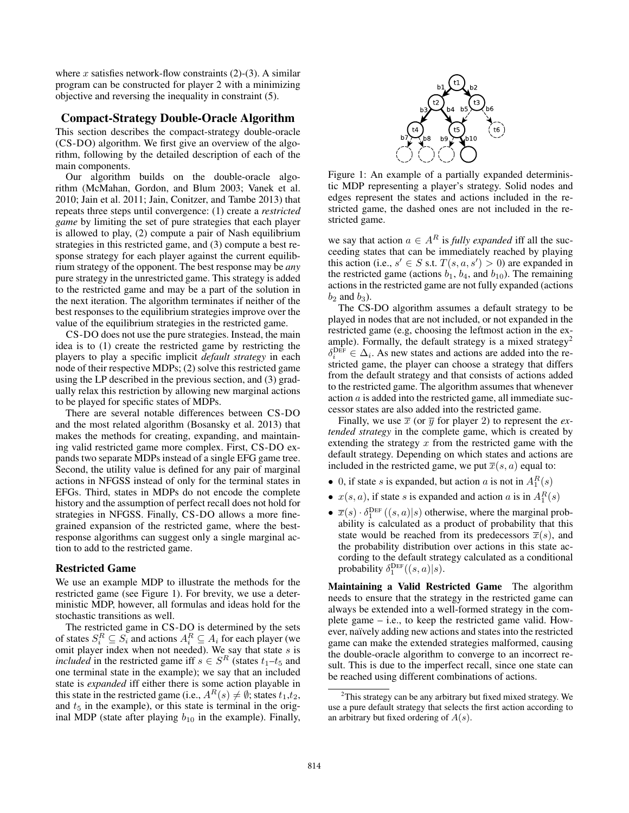where x satisfies network-flow constraints  $(2)-(3)$ . A similar program can be constructed for player 2 with a minimizing objective and reversing the inequality in constraint (5).

# Compact-Strategy Double-Oracle Algorithm

This section describes the compact-strategy double-oracle (CS-DO) algorithm. We first give an overview of the algorithm, following by the detailed description of each of the main components.

Our algorithm builds on the double-oracle algorithm (McMahan, Gordon, and Blum 2003; Vanek et al. 2010; Jain et al. 2011; Jain, Conitzer, and Tambe 2013) that repeats three steps until convergence: (1) create a *restricted game* by limiting the set of pure strategies that each player is allowed to play, (2) compute a pair of Nash equilibrium strategies in this restricted game, and (3) compute a best response strategy for each player against the current equilibrium strategy of the opponent. The best response may be *any* pure strategy in the unrestricted game. This strategy is added to the restricted game and may be a part of the solution in the next iteration. The algorithm terminates if neither of the best responses to the equilibrium strategies improve over the value of the equilibrium strategies in the restricted game.

CS-DO does not use the pure strategies. Instead, the main idea is to (1) create the restricted game by restricting the players to play a specific implicit *default strategy* in each node of their respective MDPs; (2) solve this restricted game using the LP described in the previous section, and (3) gradually relax this restriction by allowing new marginal actions to be played for specific states of MDPs.

There are several notable differences between CS-DO and the most related algorithm (Bosansky et al. 2013) that makes the methods for creating, expanding, and maintaining valid restricted game more complex. First, CS-DO expands two separate MDPs instead of a single EFG game tree. Second, the utility value is defined for any pair of marginal actions in NFGSS instead of only for the terminal states in EFGs. Third, states in MDPs do not encode the complete history and the assumption of perfect recall does not hold for strategies in NFGSS. Finally, CS-DO allows a more finegrained expansion of the restricted game, where the bestresponse algorithms can suggest only a single marginal action to add to the restricted game.

## Restricted Game

We use an example MDP to illustrate the methods for the restricted game (see Figure 1). For brevity, we use a deterministic MDP, however, all formulas and ideas hold for the stochastic transitions as well.

The restricted game in CS-DO is determined by the sets of states  $S_i^R \subseteq S_i$  and actions  $A_i^R \subseteq A_i$  for each player (we omit player index when not needed). We say that state  $s$  is *included* in the restricted game iff  $s \in S^R$  (states  $t_1-t_5$  and one terminal state in the example); we say that an included state is *expanded* iff either there is some action playable in this state in the restricted game (i.e.,  $A^R(s) \neq \emptyset$ ; states  $t_1,t_2$ , and  $t<sub>5</sub>$  in the example), or this state is terminal in the original MDP (state after playing  $b_{10}$  in the example). Finally,



Figure 1: An example of a partially expanded deterministic MDP representing a player's strategy. Solid nodes and edges represent the states and actions included in the restricted game, the dashed ones are not included in the restricted game.

we say that action  $a \in A^R$  is *fully expanded* iff all the succeeding states that can be immediately reached by playing this action (i.e.,  $s' \in S$  s.t.  $T(s, a, s') > 0$ ) are expanded in the restricted game (actions  $b_1$ ,  $b_4$ , and  $b_{10}$ ). The remaining actions in the restricted game are not fully expanded (actions  $b_2$  and  $b_3$ ).

The CS-DO algorithm assumes a default strategy to be played in nodes that are not included, or not expanded in the restricted game (e.g, choosing the leftmost action in the example). Formally, the default strategy is a mixed strategy<sup>2</sup>  $\delta_i^{\text{DEF}} \in \Delta_i$ . As new states and actions are added into the restricted game, the player can choose a strategy that differs from the default strategy and that consists of actions added to the restricted game. The algorithm assumes that whenever action  $\alpha$  is added into the restricted game, all immediate successor states are also added into the restricted game.

Finally, we use  $\bar{x}$  (or  $\bar{y}$  for player 2) to represent the *extended strategy* in the complete game, which is created by extending the strategy  $x$  from the restricted game with the default strategy. Depending on which states and actions are included in the restricted game, we put  $\overline{x}(s, a)$  equal to:

- 0, if state *s* is expanded, but action *a* is not in  $A_1^R(s)$
- $x(s, a)$ , if state s is expanded and action a is in  $A_1^R(s)$
- $\overline{x}(s) \cdot \delta_1^{\text{DEF}}((s, a)|s)$  otherwise, where the marginal probability is calculated as a product of probability that this state would be reached from its predecessors  $\overline{x}(s)$ , and the probability distribution over actions in this state according to the default strategy calculated as a conditional probability  $\delta_1^{\text{DEF}}((s, a)|s)$ .

Maintaining a Valid Restricted Game The algorithm needs to ensure that the strategy in the restricted game can always be extended into a well-formed strategy in the complete game – i.e., to keep the restricted game valid. However, naïvely adding new actions and states into the restricted game can make the extended strategies malformed, causing the double-oracle algorithm to converge to an incorrect result. This is due to the imperfect recall, since one state can be reached using different combinations of actions.

 $2$ This strategy can be any arbitrary but fixed mixed strategy. We use a pure default strategy that selects the first action according to an arbitrary but fixed ordering of  $A(s)$ .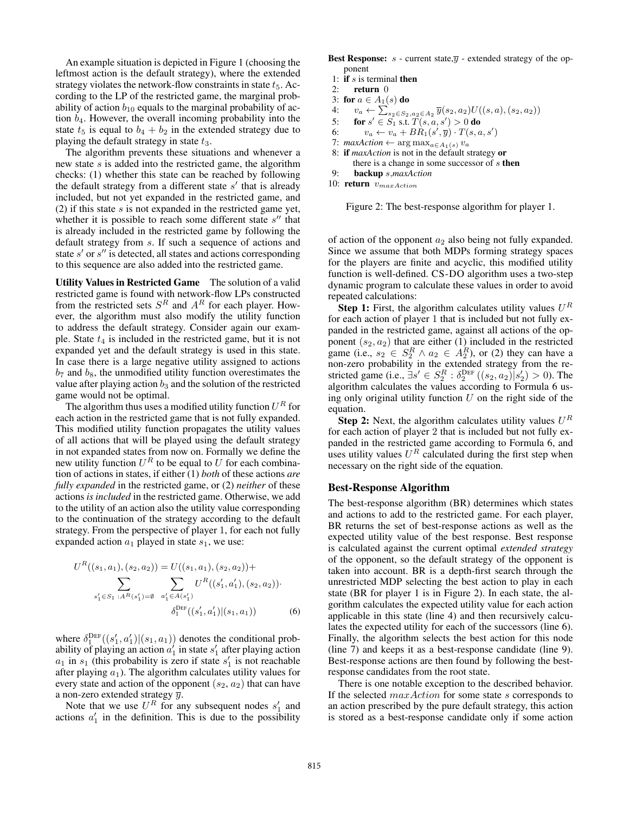An example situation is depicted in Figure 1 (choosing the leftmost action is the default strategy), where the extended strategy violates the network-flow constraints in state  $t_5$ . According to the LP of the restricted game, the marginal probability of action  $b_{10}$  equals to the marginal probability of action  $b_4$ . However, the overall incoming probability into the state  $t_5$  is equal to  $b_4 + b_2$  in the extended strategy due to playing the default strategy in state  $t_3$ .

The algorithm prevents these situations and whenever a new state s is added into the restricted game, the algorithm checks: (1) whether this state can be reached by following the default strategy from a different state  $s'$  that is already included, but not yet expanded in the restricted game, and (2) if this state  $s$  is not expanded in the restricted game yet, whether it is possible to reach some different state  $s''$  that is already included in the restricted game by following the default strategy from s. If such a sequence of actions and state  $s'$  or  $s''$  is detected, all states and actions corresponding to this sequence are also added into the restricted game.

Utility Values in Restricted Game The solution of a valid restricted game is found with network-flow LPs constructed from the restricted sets  $S<sup>R</sup>$  and  $A<sup>R</sup>$  for each player. However, the algorithm must also modify the utility function to address the default strategy. Consider again our example. State  $t_4$  is included in the restricted game, but it is not expanded yet and the default strategy is used in this state. In case there is a large negative utility assigned to actions  $b_7$  and  $b_8$ , the unmodified utility function overestimates the value after playing action  $b_3$  and the solution of the restricted game would not be optimal.

The algorithm thus uses a modified utility function  $U^R$  for each action in the restricted game that is not fully expanded. This modified utility function propagates the utility values of all actions that will be played using the default strategy in not expanded states from now on. Formally we define the new utility function  $U^R$  to be equal to U for each combination of actions in states, if either (1) *both* of these actions *are fully expanded* in the restricted game, or (2) *neither* of these actions *is included* in the restricted game. Otherwise, we add to the utility of an action also the utility value corresponding to the continuation of the strategy according to the default strategy. From the perspective of player 1, for each not fully expanded action  $a_1$  played in state  $s_1$ , we use:

$$
U^{R}((s_{1}, a_{1}), (s_{2}, a_{2})) = U((s_{1}, a_{1}), (s_{2}, a_{2})) + \sum_{s'_{1} \in S_{1} : A^{R}(s'_{1}) = \emptyset} \sum_{a'_{1} \in A(s'_{1})} U^{R}((s'_{1}, a'_{1}), (s_{2}, a_{2})) \cdot \delta_{1}^{\text{DEF}}((s'_{1}, a'_{1})|(s_{1}, a_{1})) \qquad (6)
$$

where  $\delta_1^{\text{DEF}}((s'_1, a'_1)|(s_1, a_1))$  denotes the conditional probability of playing an action  $a'_1$  in state  $s'_1$  after playing action  $a_1$  in  $s_1$  (this probability is zero if state  $s'_1$  is not reachable after playing  $a_1$ ). The algorithm calculates utility values for every state and action of the opponent  $(s_2, a_2)$  that can have a non-zero extended strategy  $\overline{y}$ .

Note that we use  $U^R$  for any subsequent nodes  $s'_1$  and actions  $a'_1$  in the definition. This is due to the possibility **Best Response:**  $s$  - current state, $\overline{y}$  - extended strategy of the opponent

- 1: if  $s$  is terminal then
- 2: return 0
- 3: for  $a \in A_1(s)$  do
- 4:  $v_a \leftarrow \sum_{s_2 \in S_2, a_2 \in A_2} \overline{y}(s_2, a_2) U((s, a), (s_2, a_2))$
- 5: for  $s' \in S_1$  s.t.  $\tilde{T}(s, a, s') > 0$  do
- 6:  $v_a \leftarrow v_a + BR_1(s', \overline{y}) \cdot T(s, a, s')$
- 7:  $maxAction \leftarrow \arg \max_{a \in A_1(s)} v_a$
- 8: if *maxAction* is not in the default strategy or there is a change in some successor of  $s$  then
- 9: backup s,*maxAction*
- 10: return  $v_{maxAction}$



of action of the opponent  $a_2$  also being not fully expanded. Since we assume that both MDPs forming strategy spaces for the players are finite and acyclic, this modified utility function is well-defined. CS-DO algorithm uses a two-step dynamic program to calculate these values in order to avoid repeated calculations:

**Step 1:** First, the algorithm calculates utility values  $U^R$ for each action of player 1 that is included but not fully expanded in the restricted game, against all actions of the opponent  $(s_2, a_2)$  that are either (1) included in the restricted game (i.e.,  $s_2 \in S_2^R \wedge a_2 \in A_2^R$ ), or (2) they can have a non-zero probability in the extended strategy from the restricted game (i.e.,  $\exists s' \in S_2^R : \delta_2^{\text{DEF}}((s_2, a_2)|s'_2) > 0$ ). The algorithm calculates the values according to Formula 6 using only original utility function  $U$  on the right side of the equation.

**Step 2:** Next, the algorithm calculates utility values  $U^R$ for each action of player 2 that is included but not fully expanded in the restricted game according to Formula 6, and uses utility values  $U^R$  calculated during the first step when necessary on the right side of the equation.

#### Best-Response Algorithm

The best-response algorithm (BR) determines which states and actions to add to the restricted game. For each player, BR returns the set of best-response actions as well as the expected utility value of the best response. Best response is calculated against the current optimal *extended strategy* of the opponent, so the default strategy of the opponent is taken into account. BR is a depth-first search through the unrestricted MDP selecting the best action to play in each state (BR for player 1 is in Figure 2). In each state, the algorithm calculates the expected utility value for each action applicable in this state (line 4) and then recursively calculates the expected utility for each of the successors (line 6). Finally, the algorithm selects the best action for this node (line 7) and keeps it as a best-response candidate (line 9). Best-response actions are then found by following the bestresponse candidates from the root state.

There is one notable exception to the described behavior. If the selected maxAction for some state s corresponds to an action prescribed by the pure default strategy, this action is stored as a best-response candidate only if some action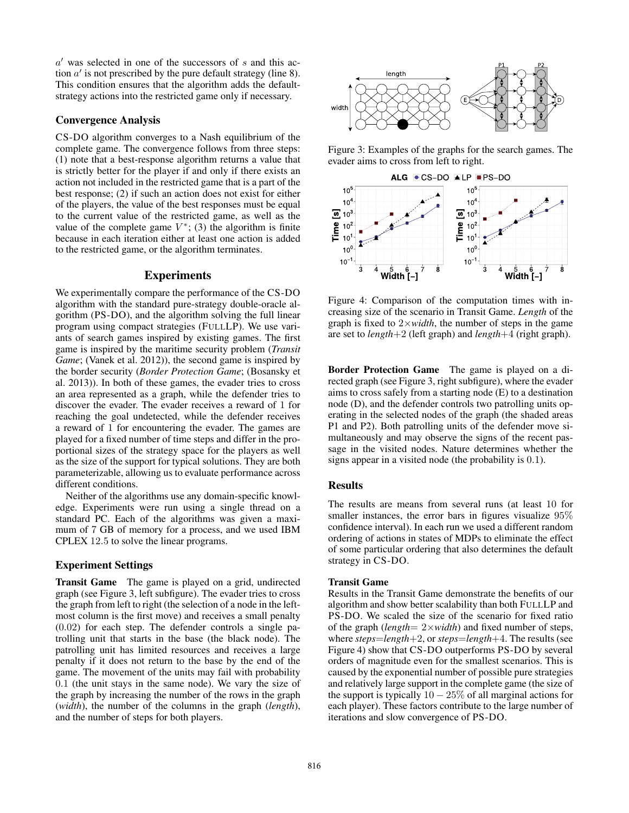$a'$  was selected in one of the successors of s and this action  $a'$  is not prescribed by the pure default strategy (line 8). This condition ensures that the algorithm adds the defaultstrategy actions into the restricted game only if necessary.

## Convergence Analysis

CS-DO algorithm converges to a Nash equilibrium of the complete game. The convergence follows from three steps: (1) note that a best-response algorithm returns a value that is strictly better for the player if and only if there exists an action not included in the restricted game that is a part of the best response; (2) if such an action does not exist for either of the players, the value of the best responses must be equal to the current value of the restricted game, as well as the value of the complete game  $V^*$ ; (3) the algorithm is finite because in each iteration either at least one action is added to the restricted game, or the algorithm terminates.

#### Experiments

We experimentally compare the performance of the CS-DO algorithm with the standard pure-strategy double-oracle algorithm (PS-DO), and the algorithm solving the full linear program using compact strategies (FULLLP). We use variants of search games inspired by existing games. The first game is inspired by the maritime security problem (*Transit Game*; (Vanek et al. 2012)), the second game is inspired by the border security (*Border Protection Game*; (Bosansky et al. 2013)). In both of these games, the evader tries to cross an area represented as a graph, while the defender tries to discover the evader. The evader receives a reward of 1 for reaching the goal undetected, while the defender receives a reward of 1 for encountering the evader. The games are played for a fixed number of time steps and differ in the proportional sizes of the strategy space for the players as well as the size of the support for typical solutions. They are both parameterizable, allowing us to evaluate performance across different conditions.

Neither of the algorithms use any domain-specific knowledge. Experiments were run using a single thread on a standard PC. Each of the algorithms was given a maximum of 7 GB of memory for a process, and we used IBM CPLEX 12.5 to solve the linear programs.

## Experiment Settings

Transit Game The game is played on a grid, undirected graph (see Figure 3, left subfigure). The evader tries to cross the graph from left to right (the selection of a node in the leftmost column is the first move) and receives a small penalty (0.02) for each step. The defender controls a single patrolling unit that starts in the base (the black node). The patrolling unit has limited resources and receives a large penalty if it does not return to the base by the end of the game. The movement of the units may fail with probability 0.1 (the unit stays in the same node). We vary the size of the graph by increasing the number of the rows in the graph (*width*), the number of the columns in the graph (*length*), and the number of steps for both players.



Figure 3: Examples of the graphs for the search games. The evader aims to cross from left to right.



Figure 4: Comparison of the computation times with increasing size of the scenario in Transit Game. *Length* of the graph is fixed to 2×*width*, the number of steps in the game are set to *length*+2 (left graph) and *length*+4 (right graph).

Border Protection Game The game is played on a directed graph (see Figure 3, right subfigure), where the evader aims to cross safely from a starting node (E) to a destination node (D), and the defender controls two patrolling units operating in the selected nodes of the graph (the shaded areas P1 and P2). Both patrolling units of the defender move simultaneously and may observe the signs of the recent passage in the visited nodes. Nature determines whether the signs appear in a visited node (the probability is 0.1).

## Results

The results are means from several runs (at least 10 for smaller instances, the error bars in figures visualize 95% confidence interval). In each run we used a different random ordering of actions in states of MDPs to eliminate the effect of some particular ordering that also determines the default strategy in CS-DO.

#### Transit Game

Results in the Transit Game demonstrate the benefits of our algorithm and show better scalability than both FULLLP and PS-DO. We scaled the size of the scenario for fixed ratio of the graph (*length*= 2×*width*) and fixed number of steps, where *steps*=*length*+2, or *steps*=*length*+4. The results (see Figure 4) show that CS-DO outperforms PS-DO by several orders of magnitude even for the smallest scenarios. This is caused by the exponential number of possible pure strategies and relatively large support in the complete game (the size of the support is typically  $10 - 25\%$  of all marginal actions for each player). These factors contribute to the large number of iterations and slow convergence of PS-DO.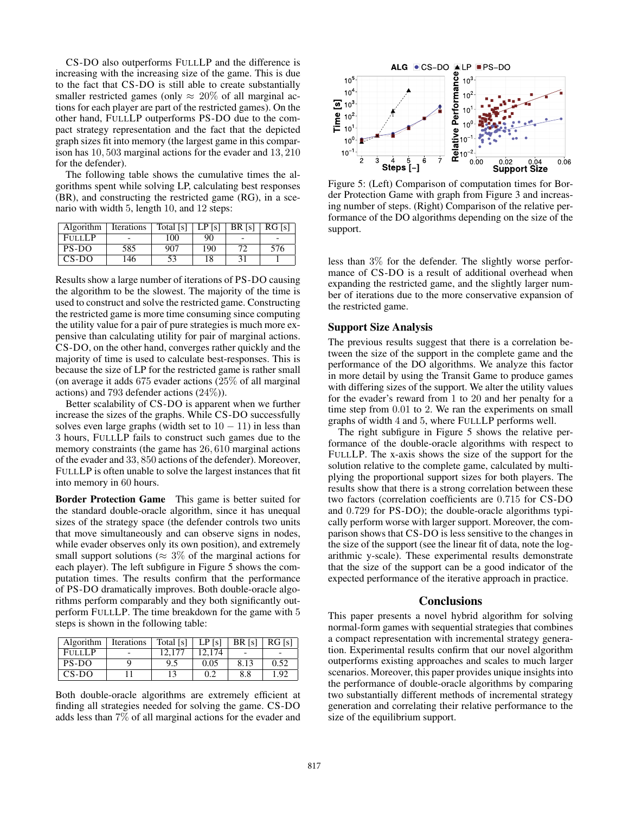CS-DO also outperforms FULLLP and the difference is increasing with the increasing size of the game. This is due to the fact that CS-DO is still able to create substantially smaller restricted games (only  $\approx 20\%$  of all marginal actions for each player are part of the restricted games). On the other hand, FULLLP outperforms PS-DO due to the compact strategy representation and the fact that the depicted graph sizes fit into memory (the largest game in this comparison has 10, 503 marginal actions for the evader and 13, 210 for the defender).

The following table shows the cumulative times the algorithms spent while solving LP, calculating best responses (BR), and constructing the restricted game (RG), in a scenario with width 5, length 10, and 12 steps:

| Algorithm     | <b>Iterations</b> | Total [s] | LP [s] | <b>BR</b> [s] | RG [s] |
|---------------|-------------------|-----------|--------|---------------|--------|
| <b>FULLLP</b> |                   | 100       | 90     |               |        |
| PS-DO         | 585               | 907       | 190    | 77            | 576    |
| $CS-DO$       | 146               | 53        | 18     |               |        |

Results show a large number of iterations of PS-DO causing the algorithm to be the slowest. The majority of the time is used to construct and solve the restricted game. Constructing the restricted game is more time consuming since computing the utility value for a pair of pure strategies is much more expensive than calculating utility for pair of marginal actions. CS-DO, on the other hand, converges rather quickly and the majority of time is used to calculate best-responses. This is because the size of LP for the restricted game is rather small (on average it adds 675 evader actions (25% of all marginal actions) and 793 defender actions (24%)).

Better scalability of CS-DO is apparent when we further increase the sizes of the graphs. While CS-DO successfully solves even large graphs (width set to  $10 - 11$ ) in less than 3 hours, FULLLP fails to construct such games due to the memory constraints (the game has 26, 610 marginal actions of the evader and 33, 850 actions of the defender). Moreover, FULLLP is often unable to solve the largest instances that fit into memory in 60 hours.

Border Protection Game This game is better suited for the standard double-oracle algorithm, since it has unequal sizes of the strategy space (the defender controls two units that move simultaneously and can observe signs in nodes, while evader observes only its own position), and extremely small support solutions ( $\approx 3\%$  of the marginal actions for each player). The left subfigure in Figure 5 shows the computation times. The results confirm that the performance of PS-DO dramatically improves. Both double-oracle algorithms perform comparably and they both significantly outperform FULLLP. The time breakdown for the game with 5 steps is shown in the following table:

| Algorithm     | Iterations | Total [s] | LP[s]  | BR [s] | RG [s] |
|---------------|------------|-----------|--------|--------|--------|
| <b>FULLLP</b> |            | 12.177    | 12.174 |        |        |
| PS-DO         |            | 9.5       | 0.05   | 8.13   | 0.52   |
| $CS-DO$       |            | 13        | 0.2    | 8.8    | 1.92   |

Both double-oracle algorithms are extremely efficient at finding all strategies needed for solving the game. CS-DO adds less than 7% of all marginal actions for the evader and



Figure 5: (Left) Comparison of computation times for Border Protection Game with graph from Figure 3 and increasing number of steps. (Right) Comparison of the relative performance of the DO algorithms depending on the size of the support.

less than 3% for the defender. The slightly worse performance of CS-DO is a result of additional overhead when expanding the restricted game, and the slightly larger number of iterations due to the more conservative expansion of the restricted game.

## Support Size Analysis

The previous results suggest that there is a correlation between the size of the support in the complete game and the performance of the DO algorithms. We analyze this factor in more detail by using the Transit Game to produce games with differing sizes of the support. We alter the utility values for the evader's reward from 1 to 20 and her penalty for a time step from 0.01 to 2. We ran the experiments on small graphs of width 4 and 5, where FULLLP performs well.

The right subfigure in Figure 5 shows the relative performance of the double-oracle algorithms with respect to FULLLP. The x-axis shows the size of the support for the solution relative to the complete game, calculated by multiplying the proportional support sizes for both players. The results show that there is a strong correlation between these two factors (correlation coefficients are 0.715 for CS-DO and 0.729 for PS-DO); the double-oracle algorithms typically perform worse with larger support. Moreover, the comparison shows that CS-DO is less sensitive to the changes in the size of the support (see the linear fit of data, note the logarithmic y-scale). These experimental results demonstrate that the size of the support can be a good indicator of the expected performance of the iterative approach in practice.

#### Conclusions

This paper presents a novel hybrid algorithm for solving normal-form games with sequential strategies that combines a compact representation with incremental strategy generation. Experimental results confirm that our novel algorithm outperforms existing approaches and scales to much larger scenarios. Moreover, this paper provides unique insights into the performance of double-oracle algorithms by comparing two substantially different methods of incremental strategy generation and correlating their relative performance to the size of the equilibrium support.